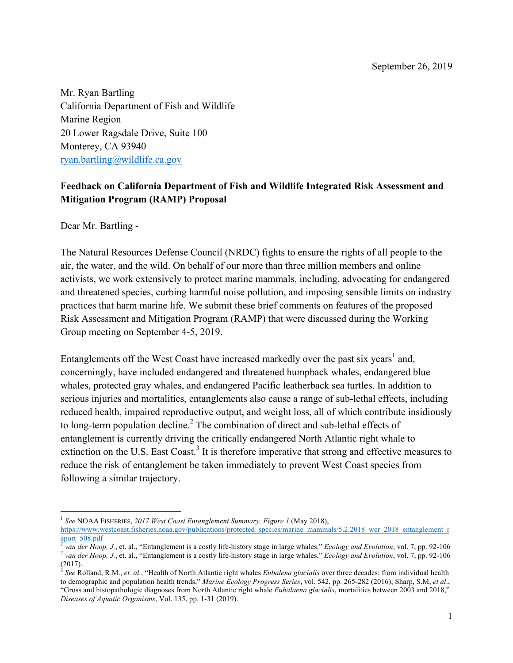September 26, 2019

Mr. Ryan Bartling California Department of Fish and Wildlife Marine Region 20 Lower Ragsdale Drive, Suite 100 Monterey, CA 93940 ryan.bartling@wildlife.ca.gov

## **Feedback on California Department of Fish and Wildlife Integrated Risk Assessment and Mitigation Program (RAMP) Proposal**

Dear Mr. Bartling -

 

The Natural Resources Defense Council (NRDC) fights to ensure the rights of all people to the air, the water, and the wild. On behalf of our more than three million members and online activists, we work extensively to protect marine mammals, including, advocating for endangered and threatened species, curbing harmful noise pollution, and imposing sensible limits on industry practices that harm marine life. We submit these brief comments on features of the proposed Risk Assessment and Mitigation Program (RAMP) that were discussed during the Working Group meeting on September 4-5, 2019.

Entanglements off the West Coast have increased markedly over the past six years<sup>1</sup> and, concerningly, have included endangered and threatened humpback whales, endangered blue whales, protected gray whales, and endangered Pacific leatherback sea turtles. In addition to serious injuries and mortalities, entanglements also cause a range of sub-lethal effects, including reduced health, impaired reproductive output, and weight loss, all of which contribute insidiously to long-term population decline.<sup>2</sup> The combination of direct and sub-lethal effects of entanglement is currently driving the critically endangered North Atlantic right whale to extinction on the U.S. East Coast.<sup>3</sup> It is therefore imperative that strong and effective measures to reduce the risk of entanglement be taken immediately to prevent West Coast species from following a similar trajectory.

<sup>1</sup> *See* NOAA FISHERIES, *2017 West Coast Entanglement Summary, Figure 1* (May 2018), https://www.westcoast.fisheries.noaa.gov/publications/protected\_species/marine\_mammals/5.2.2018\_wcr\_2018\_entanglement\_r eport  $\frac{508. \text{pdf}}{2}$  van der Hoop, J., et. al., "Entanglement is a costly life-history stage in large whales," Ecology and Evolution, vol. 7, pp. 92-106

<sup>&</sup>lt;sup>2</sup> van der Hoop, J., et. al., "Entanglement is a costly life-history stage in large whales," Ecology and Evolution, vol. 7, pp. 92-106 (2017).

<sup>3</sup> *See* Rolland, R.M., *et. al.*, "Health of North Atlantic right whales *Eubalena glacialis* over three decades: from individual health to demographic and population health trends," *Marine Ecology Progress Series*, vol. 542, pp. 265-282 (2016); Sharp, S.M, *et al*., "Gross and histopathologic diagnoses from North Atlantic right whale *Eubalaena glacialis*, mortalities between 2003 and 2018," *Diseases of Aquatic Organisms*, Vol. 135, pp. 1-31 (2019).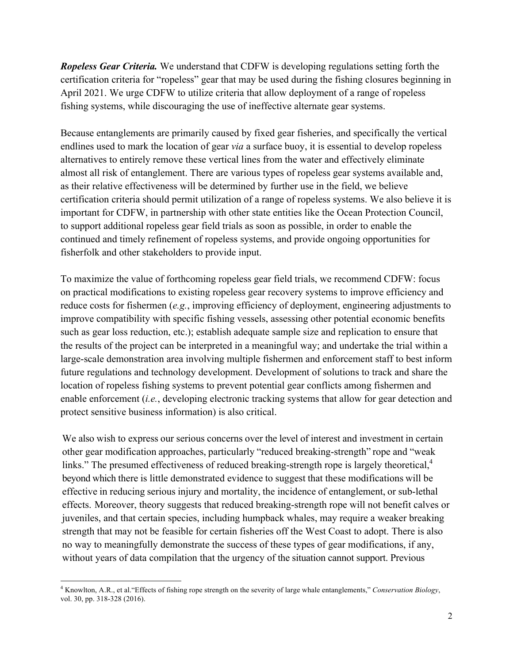*Ropeless Gear Criteria.* We understand that CDFW is developing regulations setting forth the certification criteria for "ropeless" gear that may be used during the fishing closures beginning in April 2021. We urge CDFW to utilize criteria that allow deployment of a range of ropeless fishing systems, while discouraging the use of ineffective alternate gear systems.

Because entanglements are primarily caused by fixed gear fisheries, and specifically the vertical endlines used to mark the location of gear *via* a surface buoy, it is essential to develop ropeless alternatives to entirely remove these vertical lines from the water and effectively eliminate almost all risk of entanglement. There are various types of ropeless gear systems available and, as their relative effectiveness will be determined by further use in the field, we believe certification criteria should permit utilization of a range of ropeless systems. We also believe it is important for CDFW, in partnership with other state entities like the Ocean Protection Council, to support additional ropeless gear field trials as soon as possible, in order to enable the continued and timely refinement of ropeless systems, and provide ongoing opportunities for fisherfolk and other stakeholders to provide input.

To maximize the value of forthcoming ropeless gear field trials, we recommend CDFW: focus on practical modifications to existing ropeless gear recovery systems to improve efficiency and reduce costs for fishermen (*e.g.*, improving efficiency of deployment, engineering adjustments to improve compatibility with specific fishing vessels, assessing other potential economic benefits such as gear loss reduction, etc.); establish adequate sample size and replication to ensure that the results of the project can be interpreted in a meaningful way; and undertake the trial within a large-scale demonstration area involving multiple fishermen and enforcement staff to best inform future regulations and technology development. Development of solutions to track and share the location of ropeless fishing systems to prevent potential gear conflicts among fishermen and enable enforcement (*i.e.*, developing electronic tracking systems that allow for gear detection and protect sensitive business information) is also critical.

We also wish to express our serious concerns over the level of interest and investment in certain other gear modification approaches, particularly "reduced breaking-strength" rope and "weak links." The presumed effectiveness of reduced breaking-strength rope is largely theoretical,<sup>4</sup> beyond which there is little demonstrated evidence to suggest that these modifications will be effective in reducing serious injury and mortality, the incidence of entanglement, or sub-lethal effects. Moreover, theory suggests that reduced breaking-strength rope will not benefit calves or juveniles, and that certain species, including humpback whales, may require a weaker breaking strength that may not be feasible for certain fisheries off the West Coast to adopt. There is also no way to meaningfully demonstrate the success of these types of gear modifications, if any, without years of data compilation that the urgency of the situation cannot support. Previous

<u> 1989 - Jan Samuel Barbara, margaret e</u>

<sup>4</sup> Knowlton, A.R., et al."Effects of fishing rope strength on the severity of large whale entanglements," *Conservation Biology*, vol. 30, pp. 318-328 (2016).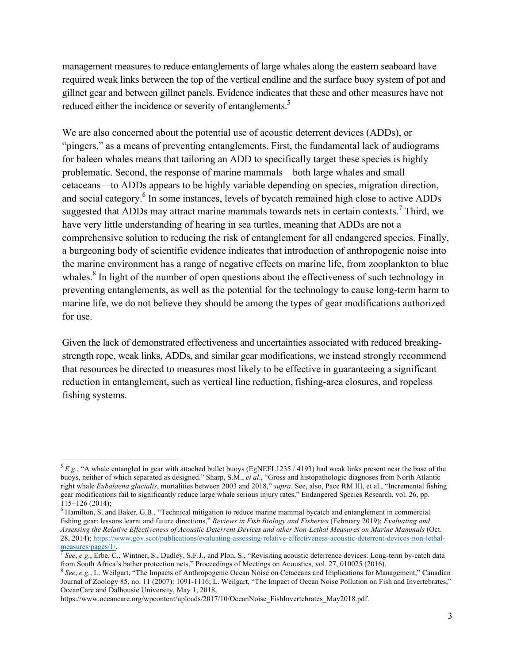management measures to reduce entanglements of large whales along the eastern seaboard have required weak links between the top of the vertical endline and the surface buoy system of pot and gillnet gear and between gillnet panels. Evidence indicates that these and other measures have not reduced either the incidence or severity of entanglements.<sup>5</sup>

We are also concerned about the potential use of acoustic deterrent devices (ADDs), or "pingers," as a means of preventing entanglements. First, the fundamental lack of audiograms for baleen whales means that tailoring an ADD to specifically target these species is highly problematic. Second, the response of marine mammals—both large whales and small cetaceans—to ADDs appears to be highly variable depending on species, migration direction, and social category.<sup>6</sup> In some instances, levels of bycatch remained high close to active ADDs suggested that ADDs may attract marine mammals towards nets in certain contexts.<sup>7</sup> Third, we have very little understanding of hearing in sea turtles, meaning that ADDs are not a comprehensive solution to reducing the risk of entanglement for all endangered species. Finally, a burgeoning body of scientific evidence indicates that introduction of anthropogenic noise into the marine environment has a range of negative effects on marine life, from zooplankton to blue whales.<sup>8</sup> In light of the number of open questions about the effectiveness of such technology in preventing entanglements, as well as the potential for the technology to cause long-term harm to marine life, we do not believe they should be among the types of gear modifications authorized for use.

Given the lack of demonstrated effectiveness and uncertainties associated with reduced breakingstrength rope, weak links, ADDs, and similar gear modifications, we instead strongly recommend that resources be directed to measures most likely to be effective in guaranteeing a significant reduction in entanglement, such as vertical line reduction, fishing-area closures, and ropeless fishing systems.

<u> 1989 - Jan Samuel Barbara, margaret e</u>

 ${}^5E$ .g., "A whale entangled in gear with attached bullet buoys (EgNEFL1235 / 4193) had weak links present near the base of the buoys, neither of which separated as designed." Sharp, S.M., *et al*., "Gross and histopathologic diagnoses from North Atlantic right whale *Eubalaena glacialis*, mortalities between 2003 and 2018," *supra*. See, also, Pace RM III, et al., "Incremental fishing gear modifications fail to significantly reduce large whale serious injury rates," Endangered Species Research, vol. 26, pp.

<sup>115</sup>−126 (2014); 6 Hamilton, S. and Baker, G.B., "Technical mitigation to reduce marine mammal bycatch and entanglement in commercial fishing gear: lessons learnt and future directions," *Reviews in Fish Biology and Fisheries* (February 2019); *Evaluating and Assessing the Relative Effectiveness of Acoustic Deterrent Devices and other Non-Lethal Measures on Marine Mammals* (Oct. 28, 2014); https://www.gov.scot/publications/evaluating-assessing-relative-effectiveness-acoustic-deterrent-devices-non-lethal-<br>measures/pages/1/

See, e.g., Erbe, C., Wintner, S., Dudley, S.F.J., and Plon, S., "Revisiting acoustic deterrence devices: Long-term by-catch data from South Africa's bather protection nets," Proceedings of Meetings on Acoustics, vol. 27, 010025 (2016).<br><sup>8</sup> See, e.g., L. Weilgart, "The Impacts of Anthropogenic Ocean Noise on Cetaceans and Implications for Management,

Journal of Zoology 85, no. 11 (2007): 1091-1116; L. Weilgart, "The Impact of Ocean Noise Pollution on Fish and Invertebrates," OceanCare and Dalhousie University, May 1, 2018,

https://www.oceancare.org/wpcontent/uploads/2017/10/OceanNoise\_FishInvertebrates\_May2018.pdf.